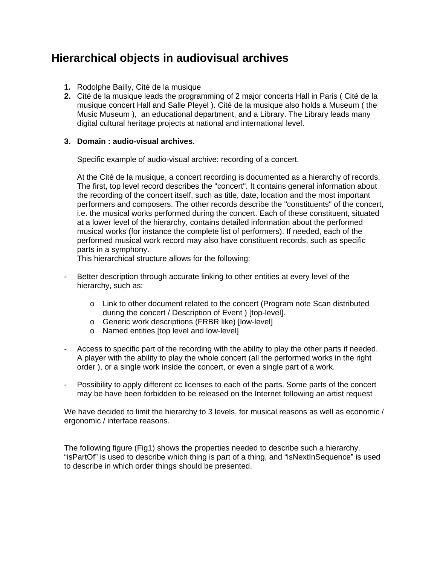# **Hierarchical objects in audiovisual archives**

- **1.** Rodolphe Bailly, Cité de la musique
- **2.** Cité de la musique leads the programming of 2 major concerts Hall in Paris ( Cité de la musique concert Hall and Salle Pleyel ). Cité de la musique also holds a Museum ( the Music Museum ), an educational department, and a Library. The Library leads many digital cultural heritage projects at national and international level.

#### **3. Domain : audio-visual archives.**

Specific example of audio-visual archive: recording of a concert.

At the Cité de la musique, a concert recording is documented as a hierarchy of records. The first, top level record describes the "concert". It contains general information about the recording of the concert itself, such as title, date, location and the most important performers and composers. The other records describe the "constituents" of the concert, i.e. the musical works performed during the concert. Each of these constituent, situated at a lower level of the hierarchy, contains detailed information about the performed musical works (for instance the complete list of performers). If needed, each of the performed musical work record may also have constituent records, such as specific parts in a symphony.

This hierarchical structure allows for the following:

- Better description through accurate linking to other entities at every level of the hierarchy, such as:
	- o Link to other document related to the concert (Program note Scan distributed during the concert / Description of Event ) [top-level].
	- o Generic work descriptions (FRBR like) [low-level]
	- o Named entities [top level and low-level]
- Access to specific part of the recording with the ability to play the other parts if needed. A player with the ability to play the whole concert (all the performed works in the right order ), or a single work inside the concert, or even a single part of a work.
- Possibility to apply different cc licenses to each of the parts. Some parts of the concert may be have been forbidden to be released on the Internet following an artist request

We have decided to limit the hierarchy to 3 levels, for musical reasons as well as economic / ergonomic / interface reasons.

The following figure (Fig1) shows the properties needed to describe such a hierarchy. "isPartOf" is used to describe which thing is part of a thing, and "isNextInSequence" is used to describe in which order things should be presented.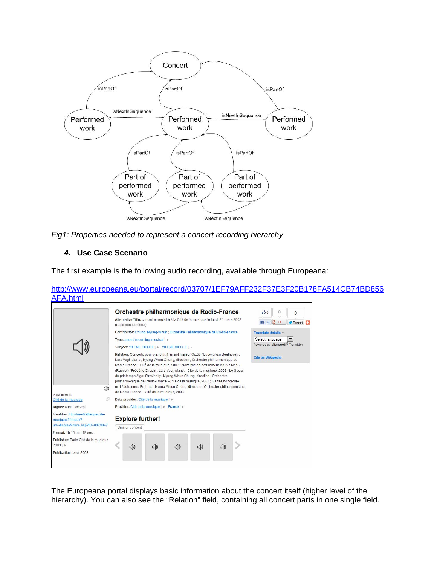

*Fig1: Properties needed to represent a concert recording hierarchy* 

# *4.* **Use Case Scenario**

The first example is the following audio recording, available through Europeana:

[http://www.europeana.eu/portal/record/03707/1EF79AFF232F37E3F20B178FA514CB74BD856](http://www.europeana.eu/portal/record/03707/1EF79AFF232F37E3F20B178FA514CB74BD856AFA.html) [AFA.html](http://www.europeana.eu/portal/record/03707/1EF79AFF232F37E3F20B178FA514CB74BD856AFA.html)



The Europeana portal displays basic information about the concert itself (higher level of the hierarchy). You can also see the "Relation" field, containing all concert parts in one single field.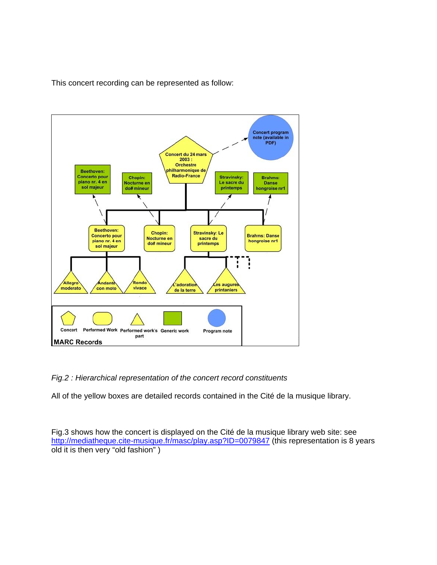This concert recording can be represented as follow:



# *Fig.2 : Hierarchical representation of the concert record constituents*

All of the yellow boxes are detailed records contained in the Cité de la musique library.

Fig.3 shows how the concert is displayed on the Cité de la musique library web site: see <http://mediatheque.cite-musique.fr/masc/play.asp?ID=0079847> (this representation is 8 years old it is then very "old fashion" )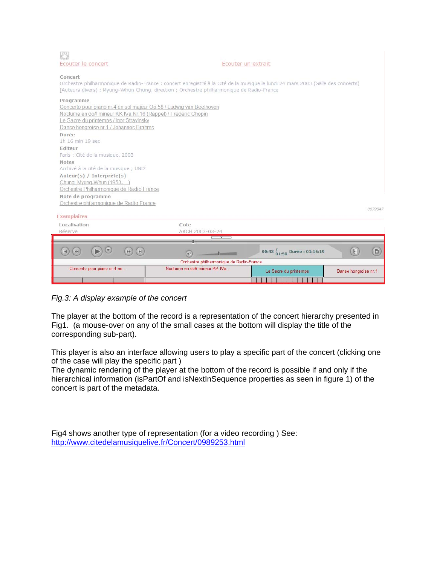| Ecouter le concert                                                                                                                                                                                                                               | Ecouter un extrait                                           |         |
|--------------------------------------------------------------------------------------------------------------------------------------------------------------------------------------------------------------------------------------------------|--------------------------------------------------------------|---------|
| Concert<br>Orchestre philharmonique de Radio-France : concert enregistré à la Cité de la musique le lundi 24 mars 2003 (Salle des concerts)<br>[Auteurs divers) ; Myung-Whun Chung, direction ; Orchestre philharmonique de Radio-France         |                                                              |         |
| Programme<br>Concerto pour piano nr.4 en sol majeur Op.58 / Ludwig van Beethoven<br>Nocturne en do# mineur KK IVa Nr.16 (Rappel) / Frédéric Chopin<br>Le Sacre du printemps / Igor Stravinsky<br>Danse hongroise nr.1 / Johannes Brahms<br>Durée |                                                              |         |
| 1h 16 min 19 sec                                                                                                                                                                                                                                 |                                                              |         |
| Editeur                                                                                                                                                                                                                                          |                                                              |         |
| Paris : Cité de la musique, 2003<br><b>Notes</b>                                                                                                                                                                                                 |                                                              |         |
| Archivé à la cité de la musique ; UNI2                                                                                                                                                                                                           |                                                              |         |
| Auteur(s) / Interprète(s)                                                                                                                                                                                                                        |                                                              |         |
| Chung, Myung-Whun (1953-)                                                                                                                                                                                                                        |                                                              |         |
| Orchestre Philharmonique de Radio France                                                                                                                                                                                                         |                                                              |         |
| Note de programme                                                                                                                                                                                                                                |                                                              |         |
| Orchestre philarmonique de Radio France                                                                                                                                                                                                          |                                                              |         |
| <b>Exemplaires</b>                                                                                                                                                                                                                               |                                                              | 0079847 |
| Localisation                                                                                                                                                                                                                                     | Cote                                                         |         |
| Réserve                                                                                                                                                                                                                                          | ARCH 2003-03-24                                              |         |
|                                                                                                                                                                                                                                                  | $\mathbf{v}$                                                 |         |
| ω                                                                                                                                                                                                                                                | E<br>00:43 $_{01:50}$ Durée : 01:16:19<br>$-1$ and $-1$<br>Œ | 目       |
| Orchestre philharmonique de Radio-France<br>Nocturne en do# mineur KK IVa                                                                                                                                                                        |                                                              |         |
| Concerto pour piano nr.4 en                                                                                                                                                                                                                      | Danse hongroise nr.1<br>Le Sacre du printemps                |         |
|                                                                                                                                                                                                                                                  |                                                              |         |

*Fig.3: A display example of the concert* 

The player at the bottom of the record is a representation of the concert hierarchy presented in Fig1. (a mouse-over on any of the small cases at the bottom will display the title of the corresponding sub-part).

This player is also an interface allowing users to play a specific part of the concert (clicking one of the case will play the specific part )

The dynamic rendering of the player at the bottom of the record is possible if and only if the hierarchical information (isPartOf and isNextInSequence properties as seen in figure 1) of the concert is part of the metadata.

Fig4 shows another type of representation (for a video recording ) See: <http://www.citedelamusiquelive.fr/Concert/0989253.html>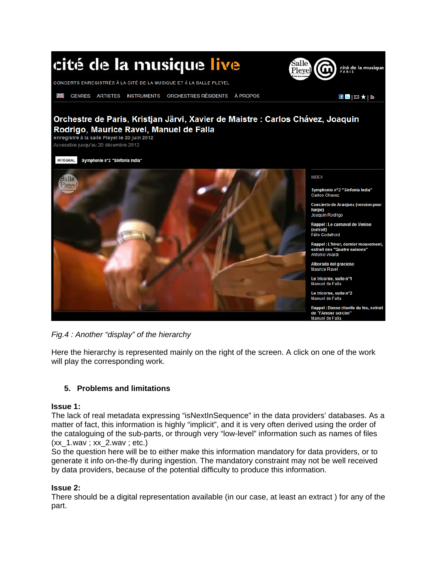

*Fig.4 : Another "display" of the hierarchy* 

Here the hierarchy is represented mainly on the right of the screen. A click on one of the work will play the corresponding work.

# **5. Problems and limitations**

#### **Issue 1:**

The lack of real metadata expressing "isNextInSequence" in the data providers' databases. As a matter of fact, this information is highly "implicit", and it is very often derived using the order of the cataloguing of the sub-parts, or through very "low-level" information such as names of files  $(xx 1.wav ; xx 2.wav ; etc.)$ 

So the question here will be to either make this information mandatory for data providers, or to generate it info on-the-fly during ingestion. The mandatory constraint may not be well received by data providers, because of the potential difficulty to produce this information.

# **Issue 2:**

There should be a digital representation available (in our case, at least an extract ) for any of the part.